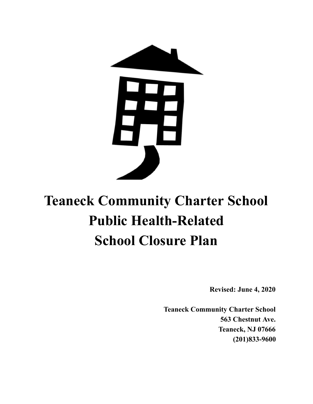

# **Teaneck Community Charter School Public Health-Related School Closure Plan**

**Revised: June 4, 2020**

**Teaneck Community Charter School 563 Chestnut Ave. Teaneck, NJ 07666 (201)833-9600**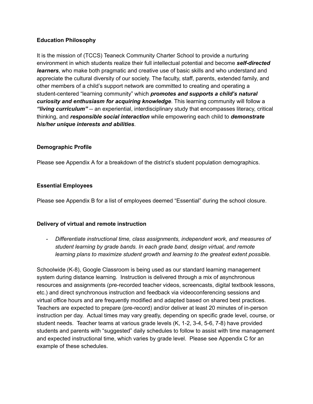#### **Education Philosophy**

It is the mission of (TCCS) Teaneck Community Charter School to provide a nurturing environment in which students realize their full intellectual potential and become *self-directed learners*, who make both pragmatic and creative use of basic skills and who understand and appreciate the cultural diversity of our society. The faculty, staff, parents, extended family, and other members of a child's support network are committed to creating and operating a student-centered "learning community" which *promotes and supports a child's natural curiosity and enthusiasm for acquiring knowledge*. This learning community will follow a *"living curriculum"* -- an experiential, interdisciplinary study that encompasses literacy, critical thinking, and *responsible social interaction* while empowering each child to *demonstrate his/her unique interests and abilities*.

#### **Demographic Profile**

Please see Appendix A for a breakdown of the district's student population demographics.

#### **Essential Employees**

Please see Appendix B for a list of employees deemed "Essential" during the school closure.

#### **Delivery of virtual and remote instruction**

*- Differentiate instructional time, class assignments, independent work, and measures of student learning by grade bands. In each grade band, design virtual, and remote learning plans to maximize student growth and learning to the greatest extent possible.*

Schoolwide (K-8), Google Classroom is being used as our standard learning management system during distance learning. Instruction is delivered through a mix of asynchronous resources and assignments (pre-recorded teacher videos, screencasts, digital textbook lessons, etc.) and direct synchronous instruction and feedback via videoconferencing sessions and virtual office hours and are frequently modified and adapted based on shared best practices. Teachers are expected to prepare (pre-record) and/or deliver at least 20 minutes of in-person instruction per day. Actual times may vary greatly, depending on specific grade level, course, or student needs. Teacher teams at various grade levels (K, 1-2, 3-4, 5-6, 7-8) have provided students and parents with "suggested" daily schedules to follow to assist with time management and expected instructional time, which varies by grade level. Please see Appendix C for an example of these schedules.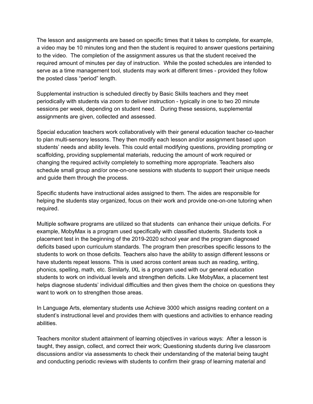The lesson and assignments are based on specific times that it takes to complete, for example, a video may be 10 minutes long and then the student is required to answer questions pertaining to the video. The completion of the assignment assures us that the student received the required amount of minutes per day of instruction. While the posted schedules are intended to serve as a time management tool, students may work at different times - provided they follow the posted class "period" length.

Supplemental instruction is scheduled directly by Basic Skills teachers and they meet periodically with students via zoom to deliver instruction - typically in one to two 20 minute sessions per week, depending on student need. During these sessions, supplemental assignments are given, collected and assessed.

Special education teachers work collaboratively with their general education teacher co-teacher to plan multi-sensory lessons. They then modify each lesson and/or assignment based upon students' needs and ability levels. This could entail modifying questions, providing prompting or scaffolding, providing supplemental materials, reducing the amount of work required or changing the required activity completely to something more appropriate. Teachers also schedule small group and/or one-on-one sessions with students to support their unique needs and guide them through the process.

Specific students have instructional aides assigned to them. The aides are responsible for helping the students stay organized, focus on their work and provide one-on-one tutoring when required.

Multiple software programs are utilized so that students can enhance their unique deficits. For example, MobyMax is a program used specifically with classified students. Students took a placement test in the beginning of the 2019-2020 school year and the program diagnosed deficits based upon curriculum standards. The program then prescribes specific lessons to the students to work on those deficits. Teachers also have the ability to assign different lessons or have students repeat lessons. This is used across content areas such as reading, writing, phonics, spelling, math, etc. Similarly, IXL is a program used with our general education students to work on individual levels and strengthen deficits. Like MobyMax, a placement test helps diagnose students' individual difficulties and then gives them the choice on questions they want to work on to strengthen those areas.

In Language Arts, elementary students use Achieve 3000 which assigns reading content on a student's instructional level and provides them with questions and activities to enhance reading abilities.

Teachers monitor student attainment of learning objectives in various ways: After a lesson is taught, they assign, collect, and correct their work; Questioning students during live classroom discussions and/or via assessments to check their understanding of the material being taught and conducting periodic reviews with students to confirm their grasp of learning material and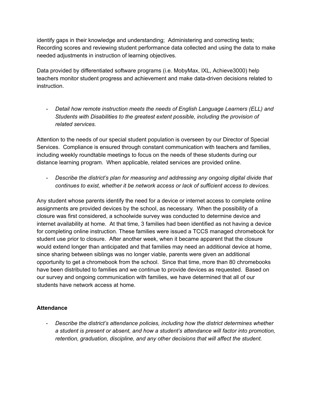identify gaps in their knowledge and understanding; Administering and correcting tests; Recording scores and reviewing student performance data collected and using the data to make needed adjustments in instruction of learning objectives.

Data provided by differentiated software programs (i.e. MobyMax, IXL, Achieve3000) help teachers monitor student progress and achievement and make data-driven decisions related to instruction.

*- Detail how remote instruction meets the needs of English Language Learners (ELL) and Students with Disabilities to the greatest extent possible, including the provision of related services.*

Attention to the needs of our special student population is overseen by our Director of Special Services. Compliance is ensured through constant communication with teachers and families, including weekly roundtable meetings to focus on the needs of these students during our distance learning program. When applicable, related services are provided online.

*- Describe the district's plan for measuring and addressing any ongoing digital divide that continues to exist, whether it be network access or lack of sufficient access to devices.*

Any student whose parents identify the need for a device or internet access to complete online assignments are provided devices by the school, as necessary. When the possibility of a closure was first considered, a schoolwide survey was conducted to determine device and internet availability at home. At that time, 3 families had been identified as not having a device for completing online instruction. These families were issued a TCCS managed chromebook for student use prior to closure. After another week, when it became apparent that the closure would extend longer than anticipated and that families may need an additional device at home, since sharing between siblings was no longer viable, parents were given an additional opportunity to get a chromebook from the school. Since that time, more than 80 chromebooks have been distributed to families and we continue to provide devices as requested. Based on our survey and ongoing communication with families, we have determined that all of our students have network access at home.

### **Attendance**

- *Describe the district's attendance policies, including how the district determines whether a student is present or absent, and how a student's attendance will factor into promotion, retention, graduation, discipline, and any other decisions that will affect the student.*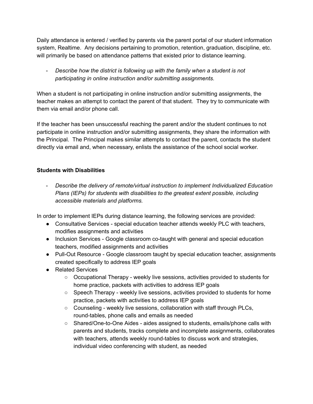Daily attendance is entered / verified by parents via the parent portal of our student information system, Realtime. Any decisions pertaining to promotion, retention, graduation, discipline, etc. will primarily be based on attendance patterns that existed prior to distance learning.

- *Describe how the district is following up with the family when a student is not participating in online instruction and/or submitting assignments.*

When a student is not participating in online instruction and/or submitting assignments, the teacher makes an attempt to contact the parent of that student. They try to communicate with them via email and/or phone call.

If the teacher has been unsuccessful reaching the parent and/or the student continues to not participate in online instruction and/or submitting assignments, they share the information with the Principal. The Principal makes similar attempts to contact the parent, contacts the student directly via email and, when necessary, enlists the assistance of the school social worker.

## **Students with Disabilities**

- *Describe the delivery of remote/virtual instruction to implement Individualized Education Plans (IEPs) for students with disabilities to the greatest extent possible, including accessible materials and platforms.*

In order to implement IEPs during distance learning, the following services are provided:

- Consultative Services special education teacher attends weekly PLC with teachers, modifies assignments and activities
- **●** Inclusion Services Google classroom co-taught with general and special education teachers, modified assignments and activities
- Pull-Out Resource Google classroom taught by special education teacher, assignments created specifically to address IEP goals
- Related Services
	- Occupational Therapy weekly live sessions, activities provided to students for home practice, packets with activities to address IEP goals
	- Speech Therapy weekly live sessions, activities provided to students for home practice, packets with activities to address IEP goals
	- $\circ$  Counseling weekly live sessions, collaboration with staff through PLCs, round-tables, phone calls and emails as needed
	- *○* Shared/One-to-One Aides aides assigned to students, emails/phone calls with parents and students, tracks complete and incomplete assignments, collaborates with teachers, attends weekly round-tables to discuss work and strategies, individual video conferencing with student, as needed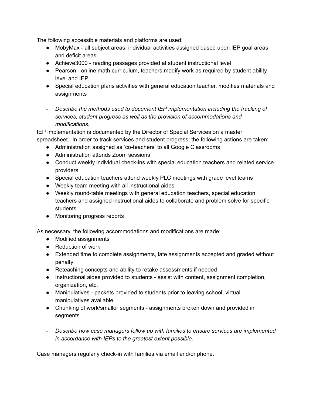The following accessible materials and platforms are used:

- MobyMax all subject areas, individual activities assigned based upon IEP goal areas and deficit areas
- Achieve3000 reading passages provided at student instructional level
- Pearson online math curriculum, teachers modify work as required by student ability level and IEP
- Special education plans activities with general education teacher, modifies materials and assignments
- *Describe the methods used to document IEP implementation including the tracking of services, student progress as well as the provision of accommodations and modifications.*

IEP implementation is documented by the Director of Special Services on a master spreadsheet. In order to track services and student progress, the following actions are taken:

- Administration assigned as 'co-teachers' to all Google Classrooms
- Administration attends Zoom sessions
- Conduct weekly individual check-ins with special education teachers and related service providers
- Special education teachers attend weekly PLC meetings with grade level teams
- Weekly team meeting with all instructional aides
- Weekly round-table meetings with general education teachers, special education teachers and assigned instructional aides to collaborate and problem solve for specific students
- Monitoring progress reports

As necessary, the following accommodations and modifications are made:

- Modified assignments
- **●** Reduction of work
- **●** Extended time to complete assignments, late assignments accepted and graded without penalty
- Reteaching concepts and ability to retake assessments if needed
- Instructional aides provided to students assist with content, assignment completion, organization, etc.
- Manipulatives packets provided to students prior to leaving school, virtual manipulatives available
- Chunking of work/smaller segments assignments broken down and provided in segments
- *Describe how case managers follow up with families to ensure services are implemented in accordance with IEPs to the greatest extent possible.*

Case managers regularly check-in with families via email and/or phone.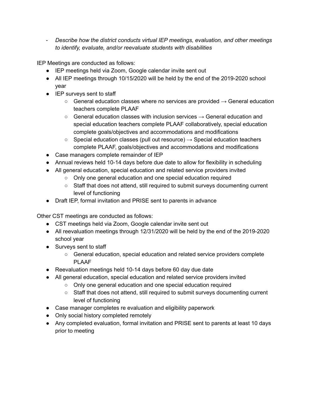- *Describe how the district conducts virtual IEP meetings, evaluation, and other meetings to identify, evaluate, and/or reevaluate students with disabilities*

IEP Meetings are conducted as follows:

- IEP meetings held via Zoom, Google calendar invite sent out
- All IEP meetings through 10/15/2020 will be held by the end of the 2019-2020 school year
- IEP surveys sent to staff
	- $\circ$  General education classes where no services are provided  $\rightarrow$  General education teachers complete PLAAF
	- $\circ$  General education classes with inclusion services  $\rightarrow$  General education and special education teachers complete PLAAF collaboratively, special education complete goals/objectives and accommodations and modifications
	- $\circ$  Special education classes (pull out resource)  $\rightarrow$  Special education teachers complete PLAAF, goals/objectives and accommodations and modifications
- Case managers complete remainder of IEP
- *●* Annual reviews held 10-14 days before due date to allow for flexibility in scheduling
- All general education, special education and related service providers invited
	- Only one general education and one special education required
	- Staff that does not attend, still required to submit surveys documenting current level of functioning
- Draft IEP, formal invitation and PRISE sent to parents in advance

Other CST meetings are conducted as follows:

- CST meetings held via Zoom, Google calendar invite sent out
- All reevaluation meetings through 12/31/2020 will be held by the end of the 2019-2020 school year
- Surveys sent to staff
	- General education, special education and related service providers complete PLAAF
- Reevaluation meetings held 10-14 days before 60 day due date
- All general education, special education and related service providers invited
	- Only one general education and one special education required
	- Staff that does not attend, still required to submit surveys documenting current level of functioning
- Case manager completes re evaluation and eligibility paperwork
- Only social history completed remotely
- **●** Any completed evaluation, formal invitation and PRISE sent to parents at least 10 days prior to meeting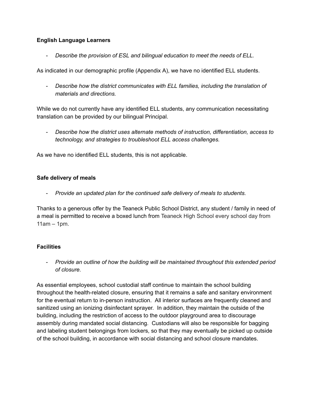### **English Language Learners**

- *Describe the provision of ESL and bilingual education to meet the needs of ELL.*

As indicated in our demographic profile (Appendix A), we have no identified ELL students.

- *Describe how the district communicates with ELL families, including the translation of materials and directions.*

While we do not currently have any identified ELL students, any communication necessitating translation can be provided by our bilingual Principal.

- *Describe how the district uses alternate methods of instruction, differentiation, access to technology, and strategies to troubleshoot ELL access challenges.*

As we have no identified ELL students, this is not applicable.

#### **Safe delivery of meals**

- *Provide an updated plan for the continued safe delivery of meals to students.*

Thanks to a generous offer by the Teaneck Public School District, any student / family in need of a meal is permitted to receive a boxed lunch from Teaneck High School every school day from 11am – 1pm.

#### **Facilities**

- *Provide an outline of how the building will be maintained throughout this extended period of closure.*

As essential employees, school custodial staff continue to maintain the school building throughout the health-related closure, ensuring that it remains a safe and sanitary environment for the eventual return to in-person instruction. All interior surfaces are frequently cleaned and sanitized using an ionizing disinfectant sprayer. In addition, they maintain the outside of the building, including the restriction of access to the outdoor playground area to discourage assembly during mandated social distancing. Custodians will also be responsible for bagging and labeling student belongings from lockers, so that they may eventually be picked up outside of the school building, in accordance with social distancing and school closure mandates.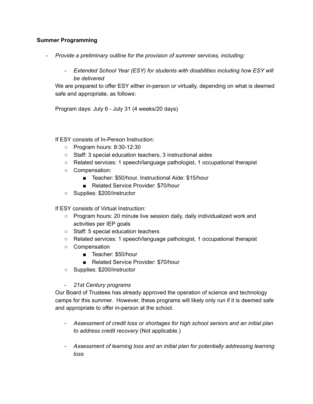#### **Summer Programming**

- *Provide a preliminary outline for the provision of summer services, including:*
	- *- Extended School Year (ESY) for students with disabilities including how ESY will be delivered*

We are prepared to offer ESY either in-person or virtually, depending on what is deemed safe and appropriate, as follows:

Program days: July 6 - July 31 (4 weeks/20 days)

If ESY consists of In-Person Instruction:

- Program hours: 8:30-12:30
- Staff: 3 special education teachers, 3 instructional aides
- Related services: 1 speech/language pathologist, 1 occupational therapist
- Compensation:
	- Teacher: \$50/hour, Instructional Aide: \$15/hour
	- Related Service Provider: \$70/hour
- Supplies: \$200/instructor

If ESY consists of Virtual Instruction:

- Program hours: 20 minute live session daily, daily individualized work and activities per IEP goals
- Staff: 5 special education teachers
- Related services: 1 speech/language pathologist, 1 occupational therapist
- Compensation
	- Teacher: \$50/hour
	- Related Service Provider: \$70/hour
- Supplies: \$200/instructor
- *21st Century programs*

Our Board of Trustees has already approved the operation of science and technology camps for this summer. However, these programs will likely only run if it is deemed safe and appropriate to offer in-person at the school.

- *Assessment of credit loss or shortages for high school seniors and an initial plan to address credit recovery* (Not applicable.)
- *- Assessment of learning loss and an initial plan for potentially addressing learning loss*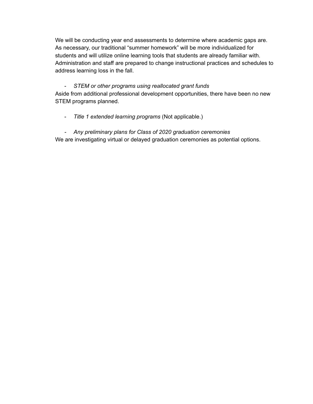We will be conducting year end assessments to determine where academic gaps are. As necessary, our traditional "summer homework" will be more individualized for students and will utilize online learning tools that students are already familiar with. Administration and staff are prepared to change instructional practices and schedules to address learning loss in the fall.

## - *STEM or other programs using reallocated grant funds*

Aside from additional professional development opportunities, there have been no new STEM programs planned.

- *Title 1 extended learning programs* (Not applicable.)

# *- Any preliminary plans for Class of 2020 graduation ceremonies*

We are investigating virtual or delayed graduation ceremonies as potential options.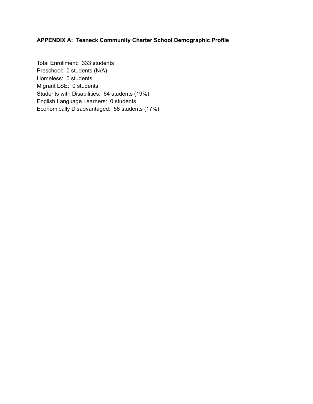## **APPENDIX A: Teaneck Community Charter School Demographic Profile**

Total Enrollment: 333 students Preschool: 0 students (N/A) Homeless: 0 students Migrant LSE: 0 students Students with Disabilities: 64 students (19%) English Language Learners: 0 students Economically Disadvantaged: 58 students (17%)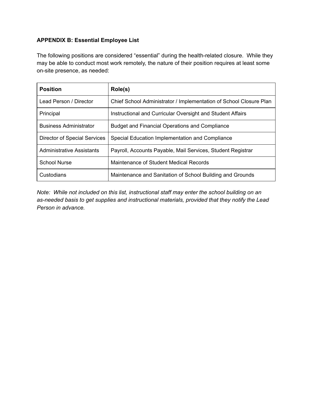## **APPENDIX B: Essential Employee List**

The following positions are considered "essential" during the health-related closure. While they may be able to conduct most work remotely, the nature of their position requires at least some on-site presence, as needed:

| <b>Position</b>                     | Role(s)                                                            |
|-------------------------------------|--------------------------------------------------------------------|
| Lead Person / Director              | Chief School Administrator / Implementation of School Closure Plan |
| Principal                           | Instructional and Curricular Oversight and Student Affairs         |
| <b>Business Administrator</b>       | <b>Budget and Financial Operations and Compliance</b>              |
| <b>Director of Special Services</b> | Special Education Implementation and Compliance                    |
| Administrative Assistants           | Payroll, Accounts Payable, Mail Services, Student Registrar        |
| <b>School Nurse</b>                 | Maintenance of Student Medical Records                             |
| Custodians                          | Maintenance and Sanitation of School Building and Grounds          |

*Note: While not included on this list, instructional staff may enter the school building on an as-needed basis to get supplies and instructional materials, provided that they notify the Lead Person in advance.*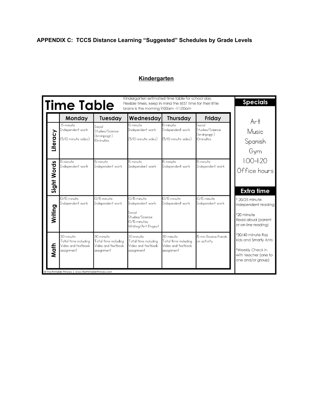# **APPENDIX C: TCCS Distance Learning "Suggested" Schedules by Grade Levels**

## **Kindergarten**

|             | <b>Time Table</b>                                                                                                                |                                                                          | Kindergarten estimated time table for school day.<br>Flexible times, keep in mind the BEST time for their little<br>brains is the morning 9:00am -11:00am |                                                                         |                                                                         | <b>Specials</b>                                                                                                                                               |
|-------------|----------------------------------------------------------------------------------------------------------------------------------|--------------------------------------------------------------------------|-----------------------------------------------------------------------------------------------------------------------------------------------------------|-------------------------------------------------------------------------|-------------------------------------------------------------------------|---------------------------------------------------------------------------------------------------------------------------------------------------------------|
| Literacy    | Monday<br>15 minute<br>Independent work<br>(5/10 minute video)                                                                   | Tuesday<br>Social<br>Studies/Science<br>(brainpopjr)<br><b>IOminutes</b> | Wednesday<br>15 minute<br>Independent work<br>(5/10 minute video)                                                                                         | <b>Thursday</b><br>15 minute<br>Independent work<br>(5/10 minute video) | Friday<br>Social<br>Studies/Science<br>(brainpopjr)<br><b>IOminutes</b> | Art<br>Music<br>Spanish                                                                                                                                       |
| Sight Words | 15 minute<br>Independent work                                                                                                    | 15 minute<br>Independent work                                            | 15 minute<br>Independent work                                                                                                                             | 15 minute<br>Independent work                                           | 15 minute<br>Independent work                                           | Gym<br>$1:00 - 1:20$<br>Office hours<br><b>Extra time</b><br>* 20/25 minute<br>independent reading<br>*20 minute<br>Read aloud (parent<br>or on-line reading) |
| Writing     | IO/I5 minute<br>Independent work                                                                                                 | 10/15 minute<br>Independent work                                         | 0/15 minute<br>Independent work<br>Social<br>Studies/Science<br>10/15 minutes<br>Writing/Art Project                                                      | 0/15 minute<br>Independent work                                         | 10/15 minute<br>Independent work                                        |                                                                                                                                                               |
| Math        | 30 minute<br>Total time including<br>Video and textbook<br>assignment<br>© The Printable Princess   www.ThePrintablePrincess.com | 30 minute<br>Total time including<br>Video and textbook<br>assignment    | 30 minute<br>Total time including<br>Video and textbook<br>assignment                                                                                     | 30 minute<br>Total time including<br>Video and textbook<br>assignment   | 15 min Review/hands<br>on activity                                      | *30/40 minute Raz<br>kids and Smarty Ants<br>*Weekly Check in<br>with teacher (one to<br>one and/or group)                                                    |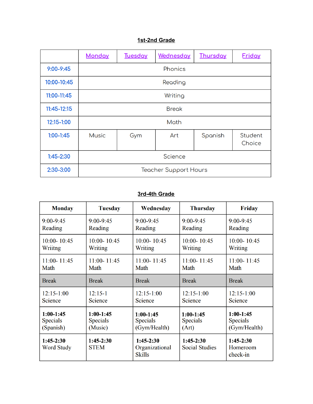## **1st-2nd Grade**

|                 | <b>Monday</b>                | <b>Tuesday</b> | Wednesday | Thursday | <b>Friday</b>     |  |
|-----------------|------------------------------|----------------|-----------|----------|-------------------|--|
| $9:00 - 9:45$   | Phonics                      |                |           |          |                   |  |
| 10:00-10:45     | Reading                      |                |           |          |                   |  |
| 11:00-11:45     | Writing                      |                |           |          |                   |  |
| $11:45 - 12:15$ | <b>Break</b>                 |                |           |          |                   |  |
| 12:15-1:00      | Math                         |                |           |          |                   |  |
| $1:00-1:45$     | <b>Music</b>                 | Gym            | Art       | Spanish  | Student<br>Choice |  |
| $1:45 - 2:30$   | Science                      |                |           |          |                   |  |
| 2:30-3:00       | <b>Teacher Support Hours</b> |                |           |          |                   |  |

## **3rd-4th Grade**

| <b>Monday</b>                    | <b>Tuesday</b>             | Wednesday                                                | <b>Thursday</b>                      | <b>Friday</b>                       |
|----------------------------------|----------------------------|----------------------------------------------------------|--------------------------------------|-------------------------------------|
| $9:00 - 9:45$                    | $9:00 - 9:45$              | $9:00 - 9:45$                                            | $9:00 - 9:45$                        | $9:00 - 9:45$                       |
| Reading                          | Reading                    | Reading                                                  | Reading                              | Reading                             |
| 10:00-10:45<br>Wriitng           | $10:00 - 10:45$<br>Writing | $10:00 - 10:45$<br>$10:00 - 10:45$<br>Writing<br>Writing |                                      | 10:00-10:45<br>Writing              |
| $11:00 - 11:45$                  | $11:00 - 11:45$            | $11:00 - 11:45$                                          | $11:00 - 11:45$                      | $11:00 - 11:45$                     |
| Math                             | Math                       | Math                                                     | Math                                 | Math                                |
| <b>Break</b>                     | <b>Break</b>               | <b>Break</b>                                             | <b>Break</b>                         | <b>Break</b>                        |
| $12:15-1:00$                     | $12:15-1$                  | $12:15-1:00$                                             | $12:15-1:00$                         | $12:15-1:00$                        |
| Science                          | <b>Science</b>             | Science                                                  | Science                              | <b>Science</b>                      |
| $1:00-1:45$                      | $1:00-1:45$                | $1:00-1:45$                                              | $1:00-1:45$                          | $1:00-1:45$                         |
| <b>Specials</b>                  | <b>Specials</b>            | <b>Specials</b>                                          | <b>Specials</b>                      | <b>Specials</b>                     |
| (Spanish)                        | (Music)                    | (Gym/Health)                                             | (Art)                                | (Gym/Health)                        |
| $1:45-2:30$<br><b>Word Study</b> | $1:45-2:30$<br><b>STEM</b> | $1:45-2:30$<br>Organizational<br><b>Skills</b>           | $1:45-2:30$<br><b>Social Studies</b> | $1:45-2:30$<br>Homeroom<br>check-in |